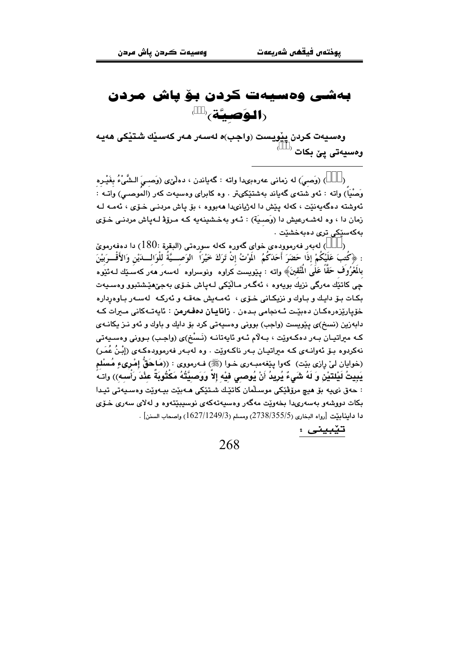## بەشى وەسپەت كردن بۆياش مردن (**الوَصيَّة**)

وەسپەت كردن يێويست (واجب)ە لەسەر ھەر كەسێك شتێكى ھەيە وہسیەتی یێ بکات <sup>(</sup>

) (وَصبيَ) له زماني عهرهبيدا واته : گهڀاندن ، دهلُّێي (وَصبيَ الـشَّيْءُ بِغَيْـره وَصْنِيَاً) واته : ئەو شتەي گەياند بەشتێكىتر . وه كابراي وەسپەت كەر (الموصىي) واتــه : ئەوشتە دەگەپەنێت ، كەلە پێش دا لەژيانىدا ھەبورە ، بۆ پاش مردنـى خـۆى ، ئەمـە لـە زمان دا ، وه لهشـهرعيش دا (وَصـيّة) : ئـهو بهخـشينهيه كـه مـروّة لـهپاش مردنـى خـوّى بەكەستكى ترى <mark>دەبەخش</mark>تت .

لەبەر فەرموودەي خواي گەورە كەلە سورەتى (البقرة :180) دا دەفەرمويّ (  $\lambda$ : ﴿كَتبَ عَلَيْكُمْ إِذَا حَضَرَ أَحَدَكُمُ ۖ الْمَوْتُ إِنْ تَرَكَ خَيْرَاً ۚ الوَصـــيَّةُ لِلْوَالــدَيْنِ وَالأَقْــرَبِيْنَ بِالْمَعْرُوفَ حَقًّا عَلَى الْمُتَّقِينَ﴾ واته : يـێويست كراوه ونوسراوه لهسهر ههر كهسكيك لـهئيوه چي کاتٽِك مەرگي نزيك بويەوە ، ئەگـەر مـالێکي لـەياش خـۆي بەجى٘ھێشتبوو وەسـيەت بکات بـۆ دايـك و بـاوك و نزيكـانى خـۆى ، ئەمـەيش حەقـه و ئەركـه لەسـەر بـاوەردارە خۆياريزەرەكـان دەبيّـت ئـەنجامى بـدەن ، **زانايـان دەڧـەرمن** : ئايەتـەكانى مـىرات كـە دابهزین (نسخ)ی پێویست (واجب) بوونی وهسپهتی کرد بۆ دایك و باوك و ئهو نـز پكانـهى کـه میراتیـان بـهر دهکـهویّت ، بـهلاّم ئـهو ئایهتانـه (نَـسْغ)ی (واجـب) بـوونی وهسـیهتی نهکردوه بـۆ ئەوانــەي کــه مىراتيــان بــەر ناکــەوپّت . وه لـهبــەر فـەرموودەکــەي (إِبْـنُ عُمَـر) (خوايان ليّ رازي بيّت) كهوا پيّغهمبـهري خـوا (صلى الله عنه عليه وي : ((هَـاحَقَّ إِمْـرِيءٍ مُسْلَم يَبِيتُ لَيْلتَيْنِ وَ لَهُ شَيءٌ يُرِيدُ أَنْ يُوصىي فيْه إلاَّ وَوَصيَّتُهُ مَكْتُوبَةٌ عِنْدَ رَأْسه)) واتهً : حەق نىڀە بۆ ھيچ مرۆڤێكى موسـڵمان كاتێك شـتێكى ھـﻪبێت بيـﻪوێت وەسـيەتى تيـدا بکات دووشهو بهسهريدا بخهوێت مهگهر وهسپهتهکهي نوسپېێتهوه و لهلاي سهري خـۆي دا داينابيّت [رواه البخاري (2738/355/5) ومسلم (1627/1249/3) واصحاب السنن] .

تێبيني :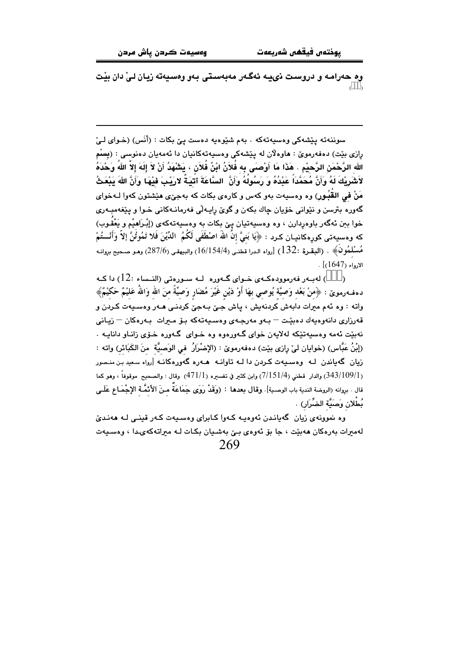وه حەرامـه و دروسـت نىيـه ئەگـەر مەبەسـتى بـەو وەسـيەتە زيـان لـىٰ دان بيْت

سوننهته پٽشهکي وهسپهتهکه . بهم شێوهپه دهست یئ بکات : (أَنَس) (خوای لےّ رازی بێت) دەڧەرموێ : ھاوەلان لە يێشەكى وەسپەتەكانيان دا ئەمەيان دەنوسى : (بِسْم الله الرَّحْمَنِ الرَّحيْمِ . هَذَا مَا أَوْصـَى بِه فُلاَنُ ابْنُ فُلاَنِ ، يَشْهَدُ أَنْ لاَ إِلَهَ إلاّ اللهُ وَحْدَهُ لاَشْرِيْكَ لَهُ وَأَنَّ مُحَمَّدَاً عَنْدُهُ وَ رَسُولُهُ وَأَنَّ السَّاعَةَ آتَيَـةٌ لارَيْـبَ فَيْهَـا وَأَنَّ اللهَ بَيْعَثُ مَنْ في القَبُورِ) وه وهسيهت بهو كهس و كارهي بكات كه بهجيِّي هيِّشتون كهوا لـهخواي گەورە <sup>ً.</sup> بترسن و نێوانى خۆيان چاك بكەن و گوێ رِايـەلّى فەرمانـەكانى خـوا و پێغەمبـەر*ى* خوا ببن ئهگەر باوەردارن ، وه وەسپەتيان يېّ بكات به وەسپەتەكەي (إِبْـرَاهيْم و يَعْقـوب) كه وهسيهتي كورهكانيـان كـرد : ﴿يَا بَنيَّ إِنَّ اللهُ اصْطَفَى لَكُمُ ۖ الدِّيْنَ فَلا تَمُوتُنَّ إِلاَّ وَأَنْـــتُمْ مُسْلْمُونَ﴾ . (البقرة :132) [رواه الدرا قطني (16/154/4) والبيهقي (287/6) وهـو صـحيح بروانـه  $\lceil(1647) \rceil$ الارواء (

) لهبـهر فهرموودهكـهى خـواى گـهوره لـه سـورهتى (النـساء :12) دا كـه  $\lambda$ دهف1رموين : ﴿مِنْ بَعْدِ وَصِيَّةٍ يُوصِي بِهَا أَوْ دَيْنِ غَيْرَ مُضَارِ وَصَيَّةً مِنَ الله وَاللهُ عَليْمٌ حَكيْمٌ﴾ واته : وه ئهم ميرات دابهش كردنهيش ، پاش جـيّ بـهجيّ كردنـي هـهر وهسـيهت كـردن و قەرزارى دانەوەبەك دەبێت — بـەو مەرجـەي وەسىيەتەكە بـۆ مـىرات بـەرەكان — زيـانى نهيٽت ئهمه وهسپهتٽکه لهلايهن خواي گ $\epsilon$ ورهوه وه خـواي گـهوره خـۆي زانـاو دانايـه . (إِبْنُ عَبَّاس) (خوايان ليْ رازي بيّت) دەفەرمويْ : (الإِضْرَارُ ۖ في الوَصيَّة ۖ منَ الكَبَائر) واتـه : زیان گەیاندن لـه وەسىيەت كـردن دا لـه تاوانـه هـەرە گەورەكانـه [رواه سعید بن منـصور (343/109/1) والدار قطني (7/151/4) وابن كثير في تفسيره (471/1) وقال : والصحيح موقوفاً ، وهو كما قال . بروانه (الروضة الندية باب الوصـية]. وقال بعدها : (وَقَدْ رَوَى جَمَاعَةٌ مـنَ الأَدْمَّـة الإجْمَـاع عَلَـى نُطْلان وَصَبَّة الضِّرَار) .

وه نموونهي زيان گهيانـدن ئهوهيـه كـهوا كـابراي وهسـيهت كـهر قينـي لـه ههنديّ لەمىرات بەرەكان ھەبێت ، جا بۆ ئەوەي بىێ بەشىيان بكـات لـە مىراتەكەيـدا ، وەسىيەت 269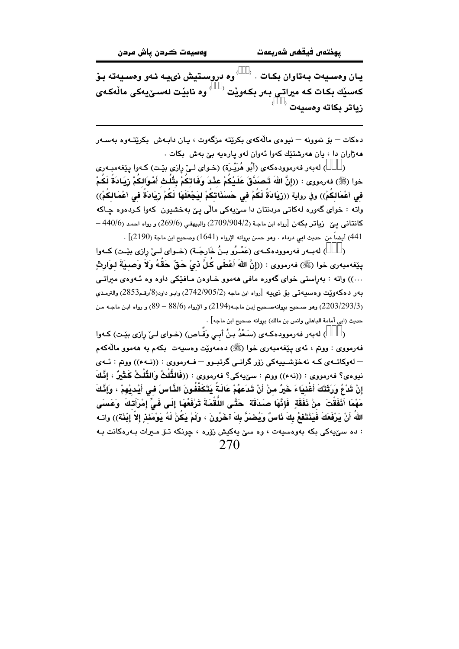يـان وەسىيەت بـەتاوان بكـات . ' ' وه دروسـتيش ذىيـه ئـەو وەسىيەتە بـۆ کەسێك بکات کە میراتی بەر بکەوێت <sup>‹ '</sup> وە نابێت لەسىٚيەکى ماڵەکە*ى*  $^\circ$ زياتر بكاته وهسبهت

دهکات — پِوْ نموونه — نيووي مالهڪهي پکرٽته مرگهوت ، پان داپوش پکرٽٽوو پوسيهر مهژاران دا ، بان ههرشتێك كهوا ئهوان لهو يارهيه بيّ بهش ِ بكات .

) لهبهر فهرموودهکهی (أَبُو هُرَيْـرَة) (خـوای لـیْ رازی بێت) کـهوا بێغهمبـهری  $\lambda$ خوا (ﷺ) فەرمووى : ((إِنَّ اللهَ تَـْصَدَّقَ عَلَـيْكُمْ عَنْدَ وَفَاتِكُمْ بِتُلُثْ أَمْوَالكُمْ رْيَادَةً لَكُمْ في أعْمَالكُمْ)) وفي رواية ((رْيَادَةً لَكُمْ في حَسَنَاتكُمْ ليَجْعَلَهَا لَكُمْ رْيَادَةً في أعْمَالكُمْ)) واته : خواي گەورە لەكاتى مردنتان دا سێپەكى مالّى يێ بەخشىون كەوا كـردەوە چـاكە  $-440/6$ ) کانتانی ییّ (یاتر بکهن [رواه ابن ماجـة (2/09/904/2) والبیهقی (269/6) و رواه احمد 441) أيضاً من حديث ابي درداء . وهو حسن بروانه الإرواء (1641) وصحيح ابن ماجة (2190)] .

) لهبـهر فهرموودهكـهي (عَمْـرُو بـنُ خَارِجَـة) (خـواي لــيّ رازي بِيّـت) كـهوا  $\lambda$ ينِغهمبهري خوا (ﷺ) فهرمووي : ((إنَّ اللهَ أَعْطَى كُلَّ دْيْ حَقٌّ حَقُّهُ ولاَ وَصبيَةَ لبوَارِثِ ...)) واته : بهراستی خوای گهوره مافی ههموو خـاوهن مـافێکی داوه وه ئـهوهی میراتـی بەر دەكەوپيت وەسىيەتى بۆ نىييە [رواە ابن ماجە (2/905/2) 1742) وابىو داود(8/رقم2853) والترمذى (2203/293/3) وهو صحيح بروانهصحيح إبـن ماجـه(2194) و الإرواء (88/6 – 89) و رواه ابـن ماجـه مـن حديث (ابي أمامة الباهلي وانس بن مالك) بروانه صحيح ابن ماجه] .

) لهبهر فهرموودهكـهي (سَعْدُ بِنُ أَبِي وَقَّـاص) (خـواي لـيِّ رازي بِيِّت) كـهوا  $\lambda$ فهرمووي : ووتم ، ئەي يېغەمبەرى خوا (ﷺ) دەمەوپت وەسپەت بكەم بە ھەموو مالّەكەم – لەوكاتــەي كــە نەخۆشــىيـەكى زۆر گرانــى گرتبــوو – فــەرمووى : ((نــەء)) ووتم : ئــەي نبوهي؟ فەرمووى : ((نەء)) ووتم : سێبەكى؟ فەرمووى : ((فَالثُّلْثُ وَالثُّلْثُ كَشْيِرٌ ، إِنَّكَ إِنْ تَدْعُ وَرَثَتَكَ أَغْنيَاءَ خَيرٌ منْ أَنْ تَدَعهُمْ عَالَةً يَتَكَفَّفُونَ الذَّاسَ في أَيْديْهمْ ، وَإِذَّكَ مَهْمَا أَنْفَقْتَ ۚ منْ نَفَقَةٍ ۚ فَإِنَّهَا ۖ صَدَقَةً ۚ حَتَّـى اللُّقْمَةَ تَرْفَعُهَا إِلَـى فَـىِّ إمْرَأتكَ ۚ وَعَسَى اللهُ أَنْ يَرْفَعَكَ فَيَذْتَفَعُ بِكَ ذَاسٌ وَيُضَرَّ بِكَ آخَرُونَ ، وَلَمْ يَكُنْ لَهُ يَوْمَئَذِ إلاّ إِبْذَة)) وات : ده سێپهکی بکه بهوهسیهت ، وه سێ یهکیش زۆره ، چونکه تـۆ مـبرات بـهرهکانت بـه 270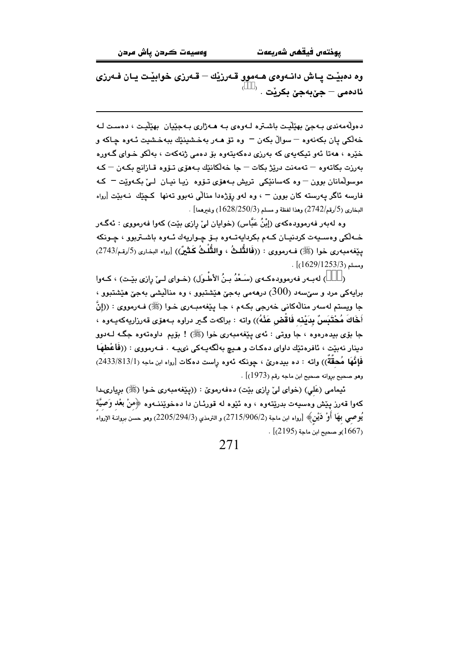وه دهبيّـت يـاش دانـهوهي هـهموو قـهرزيّك – قـهرزي خوابيّـت يـان فـهرزي ئادەمى – جێبەجێ بكرێت

دەولەمەندى بـەجىّ بھێڵيـت باشـترە لـەوەي بـە ھـەژارى بـەجێيان بھێڵيـت ، دەسـت لـە خه لکي پان بکهنهوه – سوالٌ بکهن – وه تۆ هـهر بهخشينێك ببهخشيت ئـهوه چـاکه و خێره ، هەتا ئەو تېكەپەي كە بەرزى دەكەپتەوە بۆ دەمى ژنەكەت ، بەلكو خىواي گەورە بەرزت بكاتەوە — تەمەنت درێژ بكات — جا خەلكانێك بەھۆي تىۆوە قـازانج بكـەن — كـە موسولمانان بوون – وه کهسانٽِکي تريش بـهوري تـۆوه (ييا نيـان لـيٰ بکـهوٽِت – کـه فارسه ئاگر يەرستە كان بوون <sup>ـــ</sup> ، وه لەو رۆژەدا منالْی نەبوو تەنھا كـچێك نــەبێت [رواه . البخاري (5/رقم/2742) وهذا لفظة و مسلم (1628/250/3) وغيرهما]

وه لهبهر فهرموودهکهی (إبْنُ عَبَّاس) (خوایان لیّ رازی بێت) کهوا فهرمووی : ئهگـهر خـه لکی وهسـیهت کردنیـان کـهم بکردایهتـهوه بـۆ چـواریهك ئـهوه باشـتربوو ، چـونکه ينِغهمبهري خوا (ﷺ) فـهرمووي : ((**فَالتُّلثُ ، والتُّلْثُ كَثَيْرٌ**)) [رواه البخاري (5/رقم/2743)  $\frac{1}{(1629/1253/3)}$ .

) لهبـهر فهرموودهكـهي (سَـعْدُ بـنُ الأطـوَل) (خـواي لــيّ رازي بيّـت) ، كـهوا برايهکي مرد و سيٌسهد (300) درههمي بهجيّ هيّشتبوو ، وه منالّيشي بهجيّ هيّشتبوو ، جا ويستم لهسهر منالّهکاني خەرجى بکـهم ، جـا پێغهمبـهري خـوا (ﷺ) فـهرمووي : ((إنَّ أَخَاكَ مُحْتَبَسٌ بِدَيْنِه فَاقْض عَنْهُ)) وإنه : براكهت گير دراوه بـهفرَى قهرزاريهكهيـهوه ، جا بۆي بيدەرەوە ، جا ووتى : ئەي بِيْغەمبەرى خوا (ﷺ) ! بۆيم داوەتەوە جگـه لـەدوو دينار نەبێت ، ئافرەتێك داواي دەكـات و هـيـچ بەلگەيــەكى نىيــە . فــەرمووي : ((فَأَعْطهَـا فَإِنَّهَا مُحقَّةٌ)) واته : ده بيدهريّ ، جونكه ئهوه راست دهكات [رواه ابن ماجه (2433/813/1) وهو صحيح بروانه صحيح ابن ماجه رقم (1973)] .

ئیمامی (عَلی) (خوای لیْ رازی بیْت) دهفهرمویْ : ((ییْغهمبهری خـوا (ﷺ) بریاری1را كهوا قهرز پێش وهسيهت بدرێتهوه ، وه ئێوه له قورئـان دا دهخوێننــهوه ﴿هنْ بعْد وَصيَّة يُوصـي بهَا أَوْ دَيْنٍ﴾ [رواه ابن ماجة (2/15/906/2) و الترمذي (3/294/3)2205) وهو حسن بروانــة الإرواء . [2195)و صحيح ابن ماجة (2195)] $\,$ .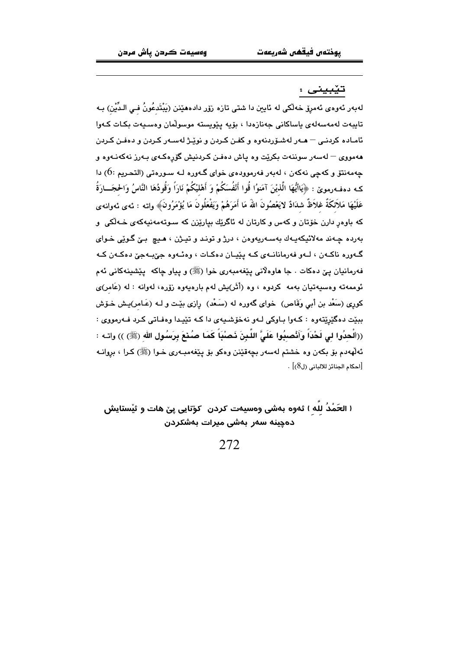تێبينى :

لهبهر ئەوەي ئەمرِق خەلكى لە ئايين دا شتى تازە زۆر دادەمێنن (يَبْتَدعُونُ فـى الـدِّيْن) بـه تايبەت لەمەسەلەي ياساكانى جەنازەدا ، بۆيە يێويستە موسولْمان وەسىيەت بكـات كـەوا .<br>ئامـاده كردنـي <sup>ـــ</sup> هــهر لهشـۆردنهوه و كفـن كـردن و نوێـژ لهسـهر كـردن و دهفـن كـردن .<br>ههمووي – لهسهر سوننهت بکريّت وه پاش دهفـن کـردنيش گۆرەکـهى بـهرز نهکهنـهوه و جهمهنٽق و کهجي نهکهن ، لهبهر فهرموودهي خواي گـهوره لـه سـورهتي (التحريم :6) دا كـه دهفـهرمويٌ : ﴿يَاأَيُّهَا الَّذيْنَ آمَنوُا قُوا أَنْفُسَكُمْ وَ أَهْليْكُمْ نَارَاً وَقُودُهَا النَّاسُ وَالحجَــارَةُ عَلَيْهَا مَلاَئكَةٌ غلاَظٌ شدَادٌ لاَيَعْصُونَ اللهَ مَا أَمَرَهُمْ وَيَفْعَلُونَ مَا يُؤْمَرُونَ﴾ واته : ئەى ئەوانەى که باوور دارن خۆتان و کهس و کارتان له ئاگر<u>ت</u>ك بپارێزن که سوتهمهنیهکهی خـهڵکی او بەردە چەند مەلائيكەيـەك بەسـەريەوەن ، درژ و تونـد و تيـژن ، ھـيـ۾ بـێ گـوێي خـواي گ+وره ناک+ن ، لـهو فهرمانانـهي کـه پێپـان دهکـات ، وهئـهوه جێبـهجێ دهکـهن کـه فهرمانیان یێ دهکات . جا هاوهلانی یێغهمبهری خوا (ﷺ) و پیاو چاکه پێشینهکانی ئهم ئوممەتە وەسىيەتيان بەمە كردوە ، وە (أَثَر)يش لەم بارەيەوە زۆرە، لەوانە : لە (عَامر)ى کوری (سَعْد بن أَبی وَقَاص) خوای گەورە لە (سَعْد) رازی بێت و لــه (عَـامر)پـش خـۆش بېێت دهگێرێتەوه : کـهوا بـاوکې لـهو نهخۆشـيهي دا کـه تێيـدا وهفـاتى کـرد فـهرمووي : ((الْحدُوا لي لَحْدَاً وَأَنْصِبُوا عَلَيَّ اللَّـبِنَ ذَصَبْـاً كَمَـا صُنْـمَ بِرَسُولِ الله (ﷺ) )) واتـه : ئهلههدم بِقِ بِكهن وه خشتم لهسهر بِچهقٽِنن وهكو بِقِ پِٽِغهمبِهرِي خَـوا (ﷺ) كـرا ، بروانـه [احكام الجنائز للالباني (ل8)] .

( الحَمْدُ لله ) ئەوە بەشى وەسىەت كردن ۖ كۆنايى پىٚ ھات و ئیستايش دەچىنە سەر بەشى مىرات بەشكردن